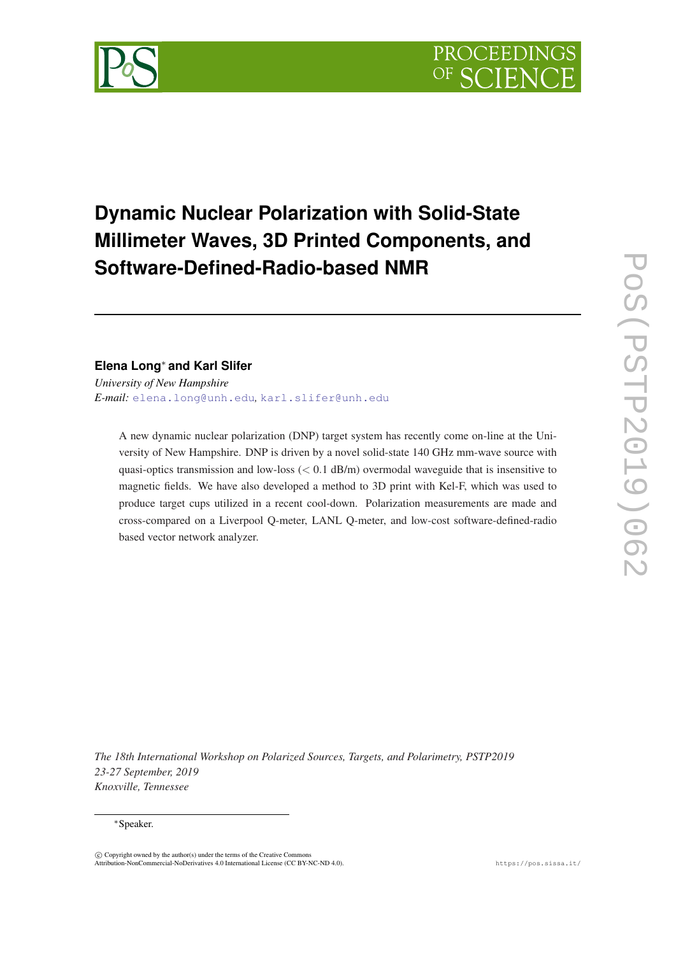

# **Dynamic Nuclear Polarization with Solid-State Millimeter Waves, 3D Printed Components, and Software-Defined-Radio-based NMR**

## **Elena Long**<sup>∗</sup> **and Karl Slifer**

*University of New Hampshire E-mail:* [elena.long@unh.edu](mailto:elena.long@unh.edu)*,* [karl.slifer@unh.edu](mailto:karl.slifer@unh.edu)

A new dynamic nuclear polarization (DNP) target system has recently come on-line at the University of New Hampshire. DNP is driven by a novel solid-state 140 GHz mm-wave source with quasi-optics transmission and low-loss  $(< 0.1$  dB/m) overmodal waveguide that is insensitive to magnetic fields. We have also developed a method to 3D print with Kel-F, which was used to produce target cups utilized in a recent cool-down. Polarization measurements are made and cross-compared on a Liverpool Q-meter, LANL Q-meter, and low-cost software-defined-radio based vector network analyzer.

*The 18th International Workshop on Polarized Sources, Targets, and Polarimetry, PSTP2019 23-27 September, 2019 Knoxville, Tennessee*

#### <sup>∗</sup>Speaker.

 $\overline{c}$  Copyright owned by the author(s) under the terms of the Creative Common Attribution-NonCommercial-NoDerivatives 4.0 International License (CC BY-NC-ND 4.0). https://pos.sissa.it/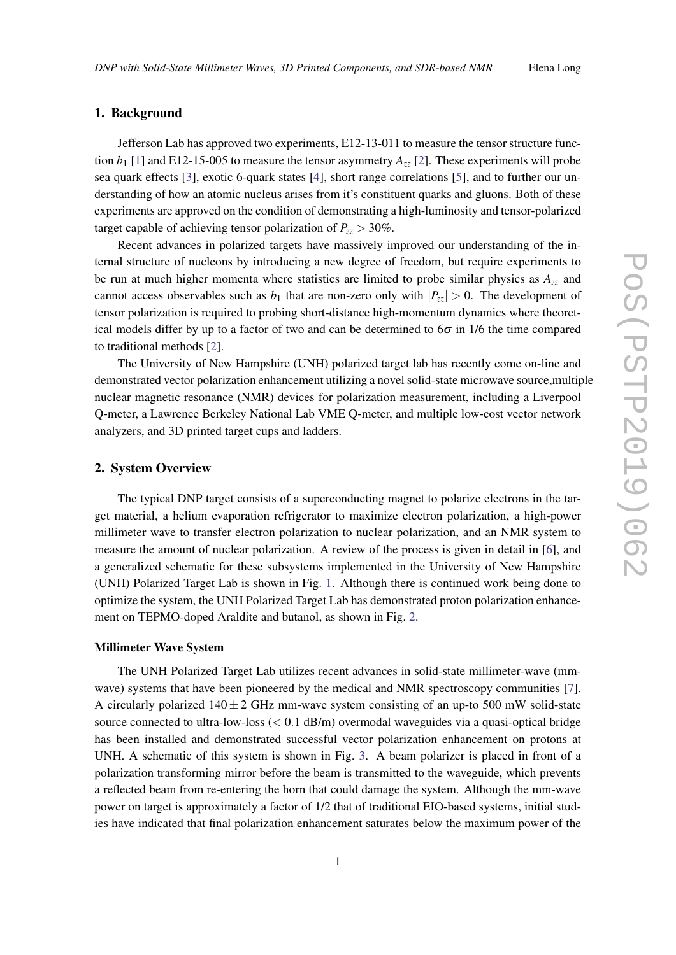### 1. Background

Jefferson Lab has approved two experiments, E12-13-011 to measure the tensor structure function  $b_1$  $b_1$  [1] and E12-15-005 to measure the tensor asymmetry  $A_{zz}$  [\[2\]](#page-4-0). These experiments will probe sea quark effects [[3](#page-4-0)], exotic 6-quark states [\[4\]](#page-4-0), short range correlations [[5](#page-4-0)], and to further our understanding of how an atomic nucleus arises from it's constituent quarks and gluons. Both of these experiments are approved on the condition of demonstrating a high-luminosity and tensor-polarized target capable of achieving tensor polarization of  $P_{zz} > 30\%$ .

Recent advances in polarized targets have massively improved our understanding of the internal structure of nucleons by introducing a new degree of freedom, but require experiments to be run at much higher momenta where statistics are limited to probe similar physics as *Azz* and cannot access observables such as  $b_1$  that are non-zero only with  $|P_{zz}| > 0$ . The development of tensor polarization is required to probing short-distance high-momentum dynamics where theoretical models differ by up to a factor of two and can be determined to  $6\sigma$  in 1/6 the time compared to traditional methods [\[2\]](#page-4-0).

The University of New Hampshire (UNH) polarized target lab has recently come on-line and demonstrated vector polarization enhancement utilizing a novel solid-state microwave source,multiple nuclear magnetic resonance (NMR) devices for polarization measurement, including a Liverpool Q-meter, a Lawrence Berkeley National Lab VME Q-meter, and multiple low-cost vector network analyzers, and 3D printed target cups and ladders.

#### 2. System Overview

The typical DNP target consists of a superconducting magnet to polarize electrons in the target material, a helium evaporation refrigerator to maximize electron polarization, a high-power millimeter wave to transfer electron polarization to nuclear polarization, and an NMR system to measure the amount of nuclear polarization. A review of the process is given in detail in [\[6\]](#page-4-0), and a generalized schematic for these subsystems implemented in the University of New Hampshire (UNH) Polarized Target Lab is shown in Fig. [1](#page-2-0). Although there is continued work being done to optimize the system, the UNH Polarized Target Lab has demonstrated proton polarization enhancement on TEPMO-doped Araldite and butanol, as shown in Fig. [2.](#page-2-0)

#### Millimeter Wave System

The UNH Polarized Target Lab utilizes recent advances in solid-state millimeter-wave (mmwave) systems that have been pioneered by the medical and NMR spectroscopy communities [\[7\]](#page-4-0). A circularly polarized  $140 \pm 2$  GHz mm-wave system consisting of an up-to 500 mW solid-state source connected to ultra-low-loss  $(< 0.1$  dB/m) overmodal waveguides via a quasi-optical bridge has been installed and demonstrated successful vector polarization enhancement on protons at UNH. A schematic of this system is shown in Fig. [3.](#page-3-0) A beam polarizer is placed in front of a polarization transforming mirror before the beam is transmitted to the waveguide, which prevents a reflected beam from re-entering the horn that could damage the system. Although the mm-wave power on target is approximately a factor of 1/2 that of traditional EIO-based systems, initial studies have indicated that final polarization enhancement saturates below the maximum power of the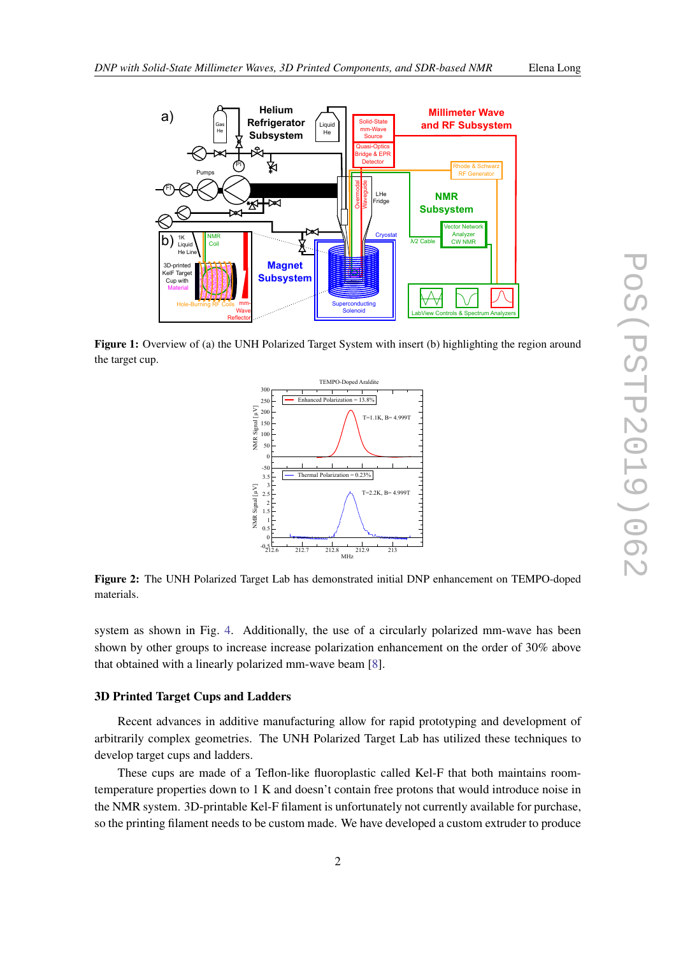<span id="page-2-0"></span>

Figure 1: Overview of (a) the UNH Polarized Target System with insert (b) highlighting the region around the target cup.



Figure 2: The UNH Polarized Target Lab has demonstrated initial DNP enhancement on TEMPO-doped materials.

system as shown in Fig. [4](#page-3-0). Additionally, the use of a circularly polarized mm-wave has been shown by other groups to increase increase polarization enhancement on the order of 30% above that obtained with a linearly polarized mm-wave beam [[8](#page-5-0)].

#### 3D Printed Target Cups and Ladders

Recent advances in additive manufacturing allow for rapid prototyping and development of arbitrarily complex geometries. The UNH Polarized Target Lab has utilized these techniques to develop target cups and ladders.

These cups are made of a Teflon-like fluoroplastic called Kel-F that both maintains roomtemperature properties down to 1 K and doesn't contain free protons that would introduce noise in the NMR system. 3D-printable Kel-F filament is unfortunately not currently available for purchase, so the printing filament needs to be custom made. We have developed a custom extruder to produce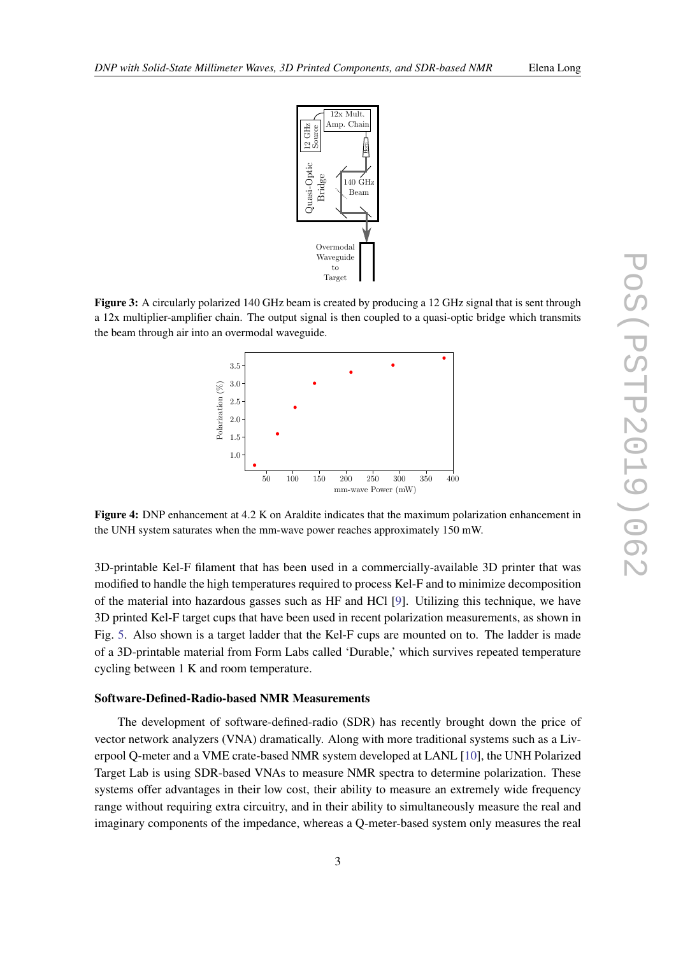<span id="page-3-0"></span>

Figure 3: A circularly polarized 140 GHz beam is created by producing a 12 GHz signal that is sent through a 12x multiplier-amplifier chain. The output signal is then coupled to a quasi-optic bridge which transmits the beam through air into an overmodal waveguide.



Figure 4: DNP enhancement at 4.2 K on Araldite indicates that the maximum polarization enhancement in the UNH system saturates when the mm-wave power reaches approximately 150 mW.

3D-printable Kel-F filament that has been used in a commercially-available 3D printer that was modified to handle the high temperatures required to process Kel-F and to minimize decomposition of the material into hazardous gasses such as HF and HCl [\[9\]](#page-5-0). Utilizing this technique, we have 3D printed Kel-F target cups that have been used in recent polarization measurements, as shown in Fig. [5](#page-4-0). Also shown is a target ladder that the Kel-F cups are mounted on to. The ladder is made of a 3D-printable material from Form Labs called 'Durable,' which survives repeated temperature cycling between 1 K and room temperature.

#### Software-Defined-Radio-based NMR Measurements

The development of software-defined-radio (SDR) has recently brought down the price of vector network analyzers (VNA) dramatically. Along with more traditional systems such as a Liverpool Q-meter and a VME crate-based NMR system developed at LANL [\[10](#page-5-0)], the UNH Polarized Target Lab is using SDR-based VNAs to measure NMR spectra to determine polarization. These systems offer advantages in their low cost, their ability to measure an extremely wide frequency range without requiring extra circuitry, and in their ability to simultaneously measure the real and imaginary components of the impedance, whereas a Q-meter-based system only measures the real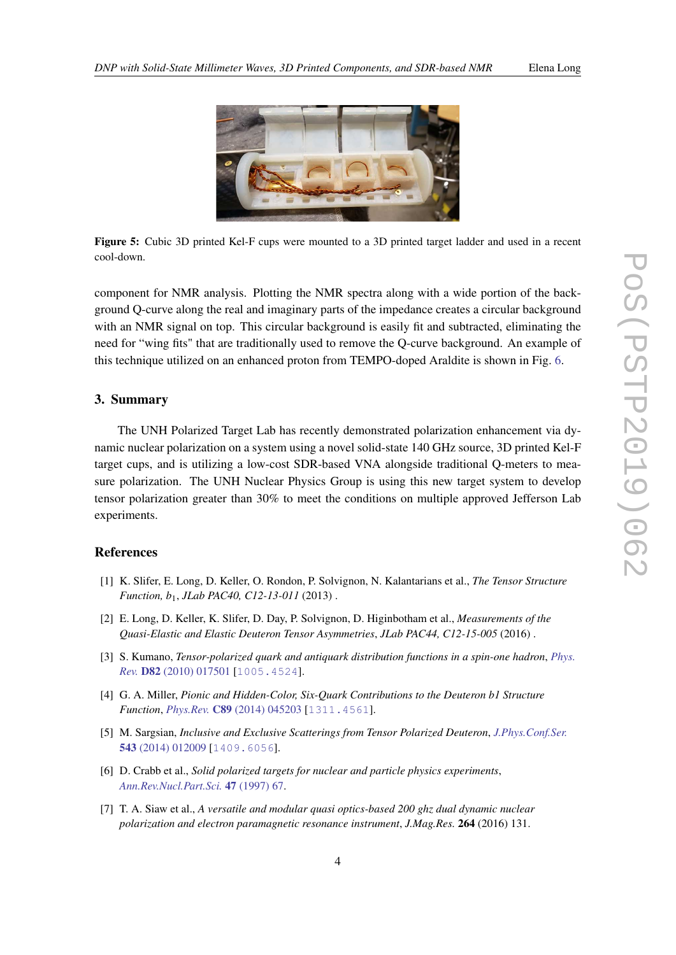<span id="page-4-0"></span>

Figure 5: Cubic 3D printed Kel-F cups were mounted to a 3D printed target ladder and used in a recent cool-down.

component for NMR analysis. Plotting the NMR spectra along with a wide portion of the background Q-curve along the real and imaginary parts of the impedance creates a circular background with an NMR signal on top. This circular background is easily fit and subtracted, eliminating the need for "wing fits" that are traditionally used to remove the Q-curve background. An example of this technique utilized on an enhanced proton from TEMPO-doped Araldite is shown in Fig. [6](#page-5-0).

#### 3. Summary

The UNH Polarized Target Lab has recently demonstrated polarization enhancement via dynamic nuclear polarization on a system using a novel solid-state 140 GHz source, 3D printed Kel-F target cups, and is utilizing a low-cost SDR-based VNA alongside traditional Q-meters to measure polarization. The UNH Nuclear Physics Group is using this new target system to develop tensor polarization greater than 30% to meet the conditions on multiple approved Jefferson Lab experiments.

#### References

- [1] K. Slifer, E. Long, D. Keller, O. Rondon, P. Solvignon, N. Kalantarians et al., *The Tensor Structure Function, b*1, *JLab PAC40, C12-13-011* (2013) .
- [2] E. Long, D. Keller, K. Slifer, D. Day, P. Solvignon, D. Higinbotham et al., *Measurements of the Quasi-Elastic and Elastic Deuteron Tensor Asymmetries*, *JLab PAC44, C12-15-005* (2016) .
- [3] S. Kumano, *Tensor-polarized quark and antiquark distribution functions in a spin-one hadron*, *[Phys.](https://doi.org/10.1103/PhysRevD.82.017501) Rev.* D82 [\(2010\) 017501](https://doi.org/10.1103/PhysRevD.82.017501) [[1005.4524](https://arxiv.org/abs/1005.4524)].
- [4] G. A. Miller, *Pionic and Hidden-Color, Six-Quark Contributions to the Deuteron b1 Structure Function*, *Phys.Rev.* C89 [\(2014\) 045203](https://doi.org/10.1103/PhysRevC.89.045203) [[1311.4561](https://arxiv.org/abs/1311.4561)].
- [5] M. Sargsian, *Inclusive and Exclusive Scatterings from Tensor Polarized Deuteron*, *[J.Phys.Conf.Ser.](https://doi.org/10.1088/1742-6596/543/1/012009)* 543 [\(2014\) 012009](https://doi.org/10.1088/1742-6596/543/1/012009) [[1409.6056](https://arxiv.org/abs/1409.6056)].
- [6] D. Crabb et al., *Solid polarized targets for nuclear and particle physics experiments*, *[Ann.Rev.Nucl.Part.Sci.](https://doi.org/10.1146/annurev.nucl.47.1.67)* 47 (1997) 67.
- [7] T. A. Siaw et al., *A versatile and modular quasi optics-based 200 ghz dual dynamic nuclear polarization and electron paramagnetic resonance instrument*, *J.Mag.Res.* 264 (2016) 131.